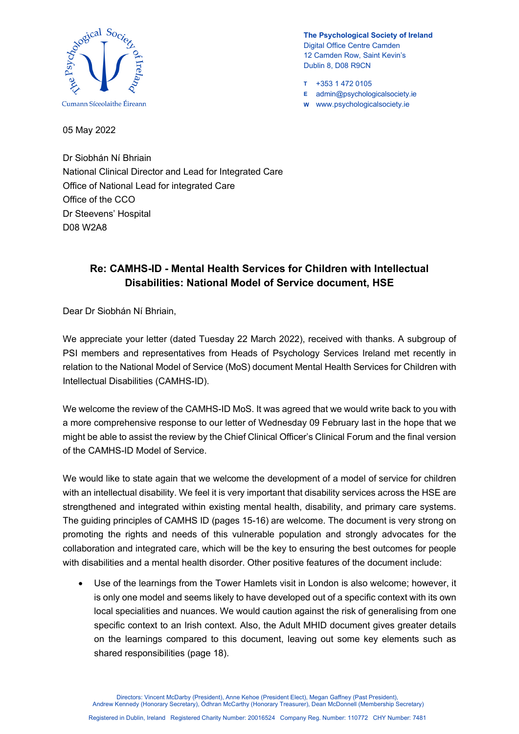

- **T** +353 1 472 0105
- **E** admin@psychologicalsociety.ie
- **W** www.psychologicalsociety.ie

05 May 2022

Dr Siobhán Ní Bhriain National Clinical Director and Lead for Integrated Care Office of National Lead for integrated Care Office of the CCO Dr Steevens' Hospital D08 W2A8

## **Re: CAMHS-ID - Mental Health Services for Children with Intellectual Disabilities: National Model of Service document, HSE**

Dear Dr Siobhán Ní Bhriain,

We appreciate your letter (dated Tuesday 22 March 2022), received with thanks. A subgroup of PSI members and representatives from Heads of Psychology Services Ireland met recently in relation to the National Model of Service (MoS) document Mental Health Services for Children with Intellectual Disabilities (CAMHS-ID).

We welcome the review of the CAMHS-ID MoS. It was agreed that we would write back to you with a more comprehensive response to our letter of Wednesday 09 February last in the hope that we might be able to assist the review by the Chief Clinical Officer's Clinical Forum and the final version of the CAMHS-ID Model of Service.

We would like to state again that we welcome the development of a model of service for children with an intellectual disability. We feel it is very important that disability services across the HSE are strengthened and integrated within existing mental health, disability, and primary care systems. The guiding principles of CAMHS ID (pages 15-16) are welcome. The document is very strong on promoting the rights and needs of this vulnerable population and strongly advocates for the collaboration and integrated care, which will be the key to ensuring the best outcomes for people with disabilities and a mental health disorder. Other positive features of the document include:

• Use of the learnings from the Tower Hamlets visit in London is also welcome; however, it is only one model and seems likely to have developed out of a specific context with its own local specialities and nuances. We would caution against the risk of generalising from one specific context to an Irish context. Also, the Adult MHID document gives greater details on the learnings compared to this document, leaving out some key elements such as shared responsibilities (page 18).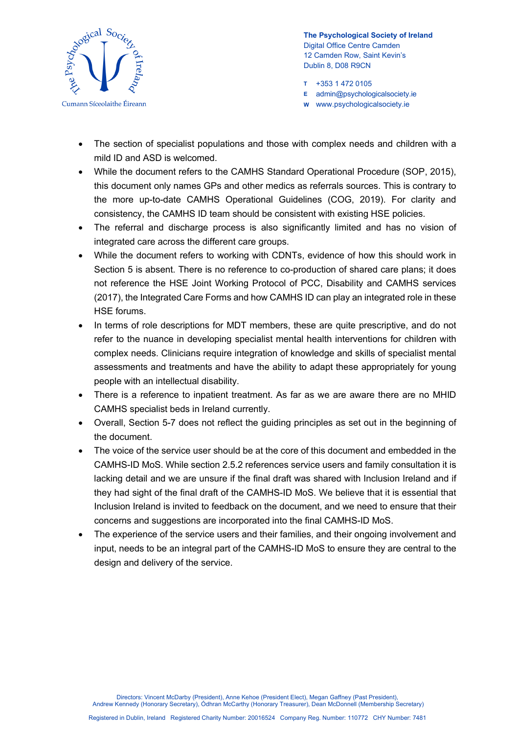

- **T** +353 1 472 0105
- **E** admin@psychologicalsociety.ie
- **W** www.psychologicalsociety.ie
- The section of specialist populations and those with complex needs and children with a mild ID and ASD is welcomed.
- While the document refers to the CAMHS Standard Operational Procedure (SOP, 2015), this document only names GPs and other medics as referrals sources. This is contrary to the more up-to-date CAMHS Operational Guidelines (COG, 2019). For clarity and consistency, the CAMHS ID team should be consistent with existing HSE policies.
- The referral and discharge process is also significantly limited and has no vision of integrated care across the different care groups.
- While the document refers to working with CDNTs, evidence of how this should work in Section 5 is absent. There is no reference to co-production of shared care plans; it does not reference the HSE Joint Working Protocol of PCC, Disability and CAMHS services (2017), the Integrated Care Forms and how CAMHS ID can play an integrated role in these HSE forums.
- In terms of role descriptions for MDT members, these are quite prescriptive, and do not refer to the nuance in developing specialist mental health interventions for children with complex needs. Clinicians require integration of knowledge and skills of specialist mental assessments and treatments and have the ability to adapt these appropriately for young people with an intellectual disability.
- There is a reference to inpatient treatment. As far as we are aware there are no MHID CAMHS specialist beds in Ireland currently.
- Overall, Section 5-7 does not reflect the guiding principles as set out in the beginning of the document.
- The voice of the service user should be at the core of this document and embedded in the CAMHS-ID MoS. While section 2.5.2 references service users and family consultation it is lacking detail and we are unsure if the final draft was shared with Inclusion Ireland and if they had sight of the final draft of the CAMHS-ID MoS. We believe that it is essential that Inclusion Ireland is invited to feedback on the document, and we need to ensure that their concerns and suggestions are incorporated into the final CAMHS-ID MoS.
- The experience of the service users and their families, and their ongoing involvement and input, needs to be an integral part of the CAMHS-ID MoS to ensure they are central to the design and delivery of the service.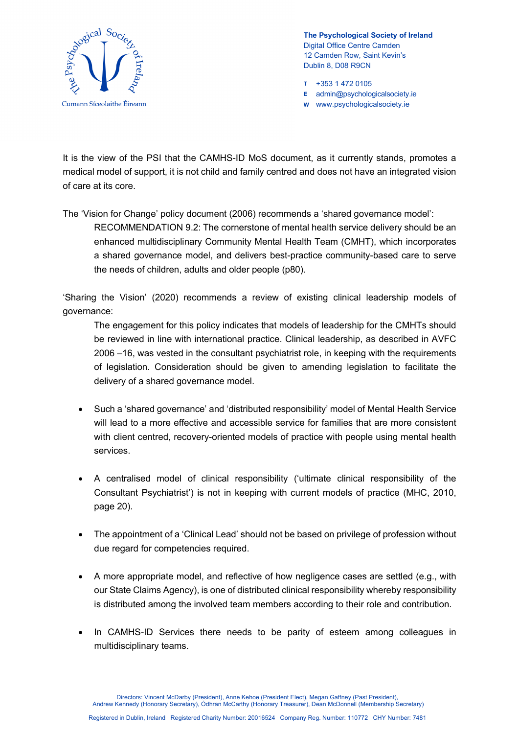

- **T** +353 1 472 0105
- **E** admin@psychologicalsociety.ie
- **W** www.psychologicalsociety.ie

It is the view of the PSI that the CAMHS-ID MoS document, as it currently stands, promotes a medical model of support, it is not child and family centred and does not have an integrated vision of care at its core.

The 'Vision for Change' policy document (2006) recommends a 'shared governance model':

RECOMMENDATION 9.2: The cornerstone of mental health service delivery should be an enhanced multidisciplinary Community Mental Health Team (CMHT), which incorporates a shared governance model, and delivers best-practice community-based care to serve the needs of children, adults and older people (p80).

'Sharing the Vision' (2020) recommends a review of existing clinical leadership models of governance:

The engagement for this policy indicates that models of leadership for the CMHTs should be reviewed in line with international practice. Clinical leadership, as described in AVFC 2006 –16, was vested in the consultant psychiatrist role, in keeping with the requirements of legislation. Consideration should be given to amending legislation to facilitate the delivery of a shared governance model.

- Such a 'shared governance' and 'distributed responsibility' model of Mental Health Service will lead to a more effective and accessible service for families that are more consistent with client centred, recovery-oriented models of practice with people using mental health services.
- A centralised model of clinical responsibility ('ultimate clinical responsibility of the Consultant Psychiatrist') is not in keeping with current models of practice (MHC, 2010, page 20).
- The appointment of a 'Clinical Lead' should not be based on privilege of profession without due regard for competencies required.
- A more appropriate model, and reflective of how negligence cases are settled (e.g., with our State Claims Agency), is one of distributed clinical responsibility whereby responsibility is distributed among the involved team members according to their role and contribution.
- In CAMHS-ID Services there needs to be parity of esteem among colleagues in multidisciplinary teams.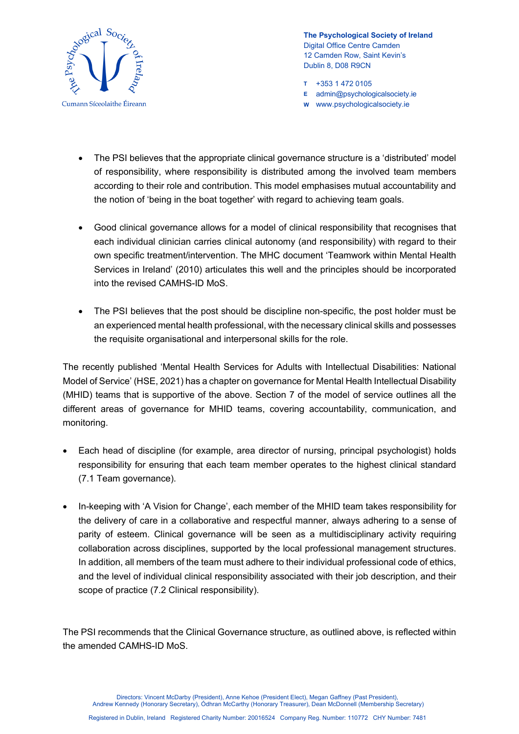

- **T** +353 1 472 0105
- **E** admin@psychologicalsociety.ie
- **W** www.psychologicalsociety.ie
- The PSI believes that the appropriate clinical governance structure is a 'distributed' model of responsibility, where responsibility is distributed among the involved team members according to their role and contribution. This model emphasises mutual accountability and the notion of 'being in the boat together' with regard to achieving team goals.
- Good clinical governance allows for a model of clinical responsibility that recognises that each individual clinician carries clinical autonomy (and responsibility) with regard to their own specific treatment/intervention. The MHC document 'Teamwork within Mental Health Services in Ireland' (2010) articulates this well and the principles should be incorporated into the revised CAMHS-ID MoS.
- The PSI believes that the post should be discipline non-specific, the post holder must be an experienced mental health professional, with the necessary clinical skills and possesses the requisite organisational and interpersonal skills for the role.

The recently published 'Mental Health Services for Adults with Intellectual Disabilities: National Model of Service' (HSE, 2021) has a chapter on governance for Mental Health Intellectual Disability (MHID) teams that is supportive of the above. Section 7 of the model of service outlines all the different areas of governance for MHID teams, covering accountability, communication, and monitoring.

- Each head of discipline (for example, area director of nursing, principal psychologist) holds responsibility for ensuring that each team member operates to the highest clinical standard (7.1 Team governance).
- In-keeping with 'A Vision for Change', each member of the MHID team takes responsibility for the delivery of care in a collaborative and respectful manner, always adhering to a sense of parity of esteem. Clinical governance will be seen as a multidisciplinary activity requiring collaboration across disciplines, supported by the local professional management structures. In addition, all members of the team must adhere to their individual professional code of ethics, and the level of individual clinical responsibility associated with their job description, and their scope of practice (7.2 Clinical responsibility).

The PSI recommends that the Clinical Governance structure, as outlined above, is reflected within the amended CAMHS-ID MoS.